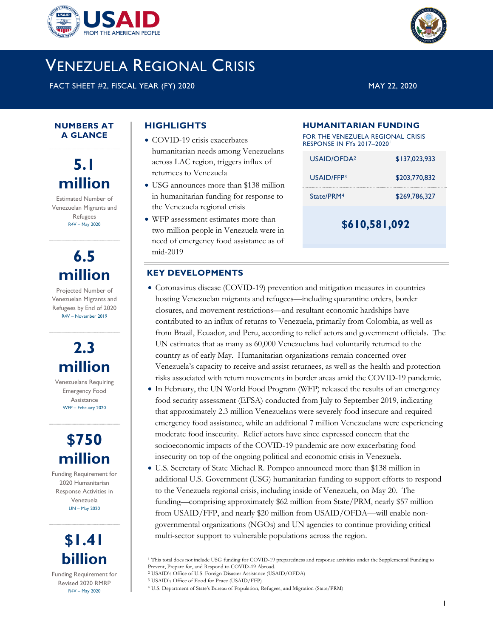



FACT SHEET #2, FISCAL YEAR (FY) 2020 MAY 22, 2020

1

#### **NUMBERS AT A GLANCE**

**5.1 million**

Estimated Number of Venezuelan Migrants and Refugees R4V – May 2020

## **6.5 million**

Projected Number of Venezuelan Migrants and Refugees by End of 2020 R4V – November 2019

# **2.3 million**

Venezuelans Requiring Emergency Food Assistance WFP – February 2020

## **\$750 million**

Funding Requirement for 2020 Humanitarian Response Activities in Venezuela UN – May 2020



Funding Requirement for Revised 2020 RMRP R4V – May 2020

## **HIGHLIGHTS**

- COVID-19 crisis exacerbates humanitarian needs among Venezuelans across LAC region, triggers influx of returnees to Venezuela
- USG announces more than \$138 million in humanitarian funding for response to the Venezuela regional crisis
- WFP assessment estimates more than two million people in Venezuela were in need of emergency food assistance as of mid-2019

### **HUMANITARIAN FUNDING**

FOR THE VENEZUELA REGIONAL CRISIS RESPONSE IN FYs 2017-2020<sup>1</sup>

| \$610,581,092           |               |  |
|-------------------------|---------------|--|
| Strate/PRM <sup>4</sup> | \$269,786,327 |  |
| USAID/FFP3              | \$203,770,832 |  |
| USAID/OFDA <sup>2</sup> | \$137,023,933 |  |

## **KEY DEVELOPMENTS**

- Coronavirus disease (COVID-19) prevention and mitigation measures in countries hosting Venezuelan migrants and refugees—including quarantine orders, border closures, and movement restrictions—and resultant economic hardships have contributed to an influx of returns to Venezuela, primarily from Colombia, as well as from Brazil, Ecuador, and Peru, according to relief actors and government officials. The UN estimates that as many as 60,000 Venezuelans had voluntarily returned to the country as of early May. Humanitarian organizations remain concerned over Venezuela's capacity to receive and assist returnees, as well as the health and protection risks associated with return movements in border areas amid the COVID-19 pandemic.
- In February, the UN World Food Program (WFP) released the results of an emergency food security assessment (EFSA) conducted from July to September 2019, indicating that approximately 2.3 million Venezuelans were severely food insecure and required emergency food assistance, while an additional 7 million Venezuelans were experiencing moderate food insecurity. Relief actors have since expressed concern that the socioeconomic impacts of the COVID-19 pandemic are now exacerbating food insecurity on top of the ongoing political and economic crisis in Venezuela.
- U.S. Secretary of State Michael R. Pompeo announced more than \$138 million in additional U.S. Government (USG) humanitarian funding to support efforts to respond to the Venezuela regional crisis, including inside of Venezuela, on May 20. The funding—comprising approximately \$62 million from State/PRM, nearly \$57 million from USAID/FFP, and nearly \$20 million from USAID/OFDA—will enable nongovernmental organizations (NGOs) and UN agencies to continue providing critical multi-sector support to vulnerable populations across the region.



<sup>&</sup>lt;sup>1</sup> This total does not include USG funding for COVID-19 preparedness and response activities under the Supplemental Funding to Prevent, Prepare for, and Respond to COVID-19 Abroad.

<sup>2</sup> USAID's Office of U.S. Foreign Disaster Assistance (USAID/OFDA)

<sup>3</sup> USAID's Office of Food for Peace (USAID/FFP)

<sup>4</sup> U.S. Department of State's Bureau of Population, Refugees, and Migration (State/PRM)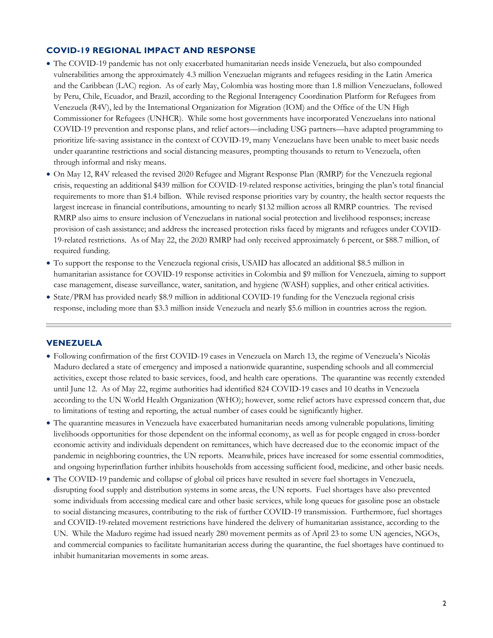## **COVID-19 REGIONAL IMPACT AND RESPONSE**

- The COVID-19 pandemic has not only exacerbated humanitarian needs inside Venezuela, but also compounded vulnerabilities among the approximately 4.3 million Venezuelan migrants and refugees residing in the Latin America and the Caribbean (LAC) region. As of early May, Colombia was hosting more than 1.8 million Venezuelans, followed by Peru, Chile, Ecuador, and Brazil, according to the Regional Interagency Coordination Platform for Refugees from Venezuela (R4V), led by the International Organization for Migration (IOM) and the Office of the UN High Commissioner for Refugees (UNHCR). While some host governments have incorporated Venezuelans into national COVID-19 prevention and response plans, and relief actors—including USG partners—have adapted programming to prioritize life-saving assistance in the context of COVID-19, many Venezuelans have been unable to meet basic needs under quarantine restrictions and social distancing measures, prompting thousands to return to Venezuela, often through informal and risky means.
- On May 12, R4V released the revised 2020 Refugee and Migrant Response Plan (RMRP) for the Venezuela regional crisis, requesting an additional \$439 million for COVID-19-related response activities, bringing the plan's total financial requirements to more than \$1.4 billion. While revised response priorities vary by country, the health sector requests the largest increase in financial contributions, amounting to nearly \$132 million across all RMRP countries. The revised RMRP also aims to ensure inclusion of Venezuelans in national social protection and livelihood responses; increase provision of cash assistance; and address the increased protection risks faced by migrants and refugees under COVID-19-related restrictions. As of May 22, the 2020 RMRP had only received approximately 6 percent, or \$88.7 million, of required funding.
- To support the response to the Venezuela regional crisis, USAID has allocated an additional \$8.5 million in humanitarian assistance for COVID-19 response activities in Colombia and \$9 million for Venezuela, aiming to support case management, disease surveillance, water, sanitation, and hygiene (WASH) supplies, and other critical activities.
- State/PRM has provided nearly \$8.9 million in additional COVID-19 funding for the Venezuela regional crisis response, including more than \$3.3 million inside Venezuela and nearly \$5.6 million in countries across the region.

#### **VENEZUELA**

- Following confirmation of the first COVID-19 cases in Venezuela on March 13, the regime of Venezuela's Nicolás Maduro declared a state of emergency and imposed a nationwide quarantine, suspending schools and all commercial activities, except those related to basic services, food, and health care operations. The quarantine was recently extended until June 12. As of May 22, regime authorities had identified 824 COVID-19 cases and 10 deaths in Venezuela according to the UN World Health Organization (WHO); however, some relief actors have expressed concern that, due to limitations of testing and reporting, the actual number of cases could be significantly higher.
- The quarantine measures in Venezuela have exacerbated humanitarian needs among vulnerable populations, limiting livelihoods opportunities for those dependent on the informal economy, as well as for people engaged in cross-border economic activity and individuals dependent on remittances, which have decreased due to the economic impact of the pandemic in neighboring countries, the UN reports. Meanwhile, prices have increased for some essential commodities, and ongoing hyperinflation further inhibits households from accessing sufficient food, medicine, and other basic needs.
- The COVID-19 pandemic and collapse of global oil prices have resulted in severe fuel shortages in Venezuela, disrupting food supply and distribution systems in some areas, the UN reports. Fuel shortages have also prevented some individuals from accessing medical care and other basic services, while long queues for gasoline pose an obstacle to social distancing measures, contributing to the risk of further COVID-19 transmission. Furthermore, fuel shortages and COVID-19-related movement restrictions have hindered the delivery of humanitarian assistance, according to the UN. While the Maduro regime had issued nearly 280 movement permits as of April 23 to some UN agencies, NGOs, and commercial companies to facilitate humanitarian access during the quarantine, the fuel shortages have continued to inhibit humanitarian movements in some areas.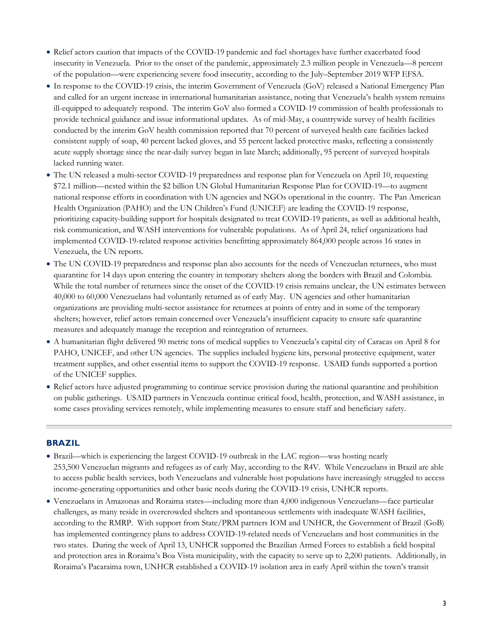- Relief actors caution that impacts of the COVID-19 pandemic and fuel shortages have further exacerbated food insecurity in Venezuela. Prior to the onset of the pandemic, approximately 2.3 million people in Venezuela—8 percent of the population—were experiencing severe food insecurity, according to the July–September 2019 WFP EFSA.
- In response to the COVID-19 crisis, the interim Government of Venezuela (GoV) released a National Emergency Plan and called for an urgent increase in international humanitarian assistance, noting that Venezuela's health system remains ill-equipped to adequately respond. The interim GoV also formed a COVID-19 commission of health professionals to provide technical guidance and issue informational updates. As of mid-May, a countrywide survey of health facilities conducted by the interim GoV health commission reported that 70 percent of surveyed health care facilities lacked consistent supply of soap, 40 percent lacked gloves, and 55 percent lacked protective masks, reflecting a consistently acute supply shortage since the near-daily survey began in late March; additionally, 95 percent of surveyed hospitals lacked running water.
- The UN released a multi-sector COVID-19 preparedness and response plan for Venezuela on April 10, requesting \$72.1 million—nested within the \$2 billion UN Global Humanitarian Response Plan for COVID-19—to augment national response efforts in coordination with UN agencies and NGOs operational in the country. The Pan American Health Organization (PAHO) and the UN Children's Fund (UNICEF) are leading the COVID-19 response, prioritizing capacity-building support for hospitals designated to treat COVID-19 patients, as well as additional health, risk communication, and WASH interventions for vulnerable populations. As of April 24, relief organizations had implemented COVID-19-related response activities benefitting approximately 864,000 people across 16 states in Venezuela, the UN reports.
- The UN COVID-19 preparedness and response plan also accounts for the needs of Venezuelan returnees, who must quarantine for 14 days upon entering the country in temporary shelters along the borders with Brazil and Colombia. While the total number of returnees since the onset of the COVID-19 crisis remains unclear, the UN estimates between 40,000 to 60,000 Venezuelans had voluntarily returned as of early May. UN agencies and other humanitarian organizations are providing multi-sector assistance for returnees at points of entry and in some of the temporary shelters; however, relief actors remain concerned over Venezuela's insufficient capacity to ensure safe quarantine measures and adequately manage the reception and reintegration of returnees.
- A humanitarian flight delivered 90 metric tons of medical supplies to Venezuela's capital city of Caracas on April 8 for PAHO, UNICEF, and other UN agencies. The supplies included hygiene kits, personal protective equipment, water treatment supplies, and other essential items to support the COVID-19 response. USAID funds supported a portion of the UNICEF supplies.
- Relief actors have adjusted programming to continue service provision during the national quarantine and prohibition on public gatherings. USAID partners in Venezuela continue critical food, health, protection, and WASH assistance, in some cases providing services remotely, while implementing measures to ensure staff and beneficiary safety.

## **BRAZIL**

- Brazil—which is experiencing the largest COVID-19 outbreak in the LAC region—was hosting nearly 253,500 Venezuelan migrants and refugees as of early May, according to the R4V. While Venezuelans in Brazil are able to access public health services, both Venezuelans and vulnerable host populations have increasingly struggled to access income-generating opportunities and other basic needs during the COVID-19 crisis, UNHCR reports.
- Venezuelans in Amazonas and Roraima states—including more than 4,000 indigenous Venezuelans—face particular challenges, as many reside in overcrowded shelters and spontaneous settlements with inadequate WASH facilities, according to the RMRP. With support from State/PRM partners IOM and UNHCR, the Government of Brazil (GoB) has implemented contingency plans to address COVID-19-related needs of Venezuelans and host communities in the two states. During the week of April 13, UNHCR supported the Brazilian Armed Forces to establish a field hospital and protection area in Roraima's Boa Vista municipality, with the capacity to serve up to 2,200 patients. Additionally, in Roraima's Pacaraima town, UNHCR established a COVID-19 isolation area in early April within the town's transit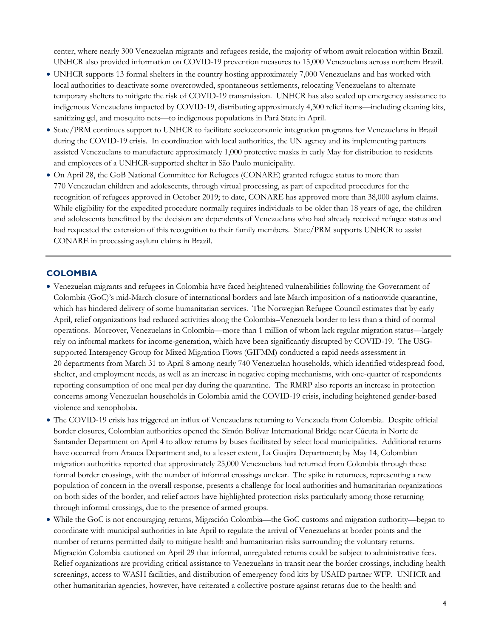center, where nearly 300 Venezuelan migrants and refugees reside, the majority of whom await relocation within Brazil. UNHCR also provided information on COVID-19 prevention measures to 15,000 Venezuelans across northern Brazil.

- UNHCR supports 13 formal shelters in the country hosting approximately 7,000 Venezuelans and has worked with local authorities to deactivate some overcrowded, spontaneous settlements, relocating Venezuelans to alternate temporary shelters to mitigate the risk of COVID-19 transmission. UNHCR has also scaled up emergency assistance to indigenous Venezuelans impacted by COVID-19, distributing approximately 4,300 relief items—including cleaning kits, sanitizing gel, and mosquito nets—to indigenous populations in Pará State in April.
- State/PRM continues support to UNHCR to facilitate socioeconomic integration programs for Venezuelans in Brazil during the COVID-19 crisis. In coordination with local authorities, the UN agency and its implementing partners assisted Venezuelans to manufacture approximately 1,000 protective masks in early May for distribution to residents and employees of a UNHCR-supported shelter in São Paulo municipality.
- On April 28, the GoB National Committee for Refugees (CONARE) granted refugee status to more than 770 Venezuelan children and adolescents, through virtual processing, as part of expedited procedures for the recognition of refugees approved in October 2019; to date, CONARE has approved more than 38,000 asylum claims. While eligibility for the expedited procedure normally requires individuals to be older than 18 years of age, the children and adolescents benefitted by the decision are dependents of Venezuelans who had already received refugee status and had requested the extension of this recognition to their family members. State/PRM supports UNHCR to assist CONARE in processing asylum claims in Brazil.

#### **COLOMBIA**

- Venezuelan migrants and refugees in Colombia have faced heightened vulnerabilities following the Government of Colombia (GoC)'s mid-March closure of international borders and late March imposition of a nationwide quarantine, which has hindered delivery of some humanitarian services. The Norwegian Refugee Council estimates that by early April, relief organizations had reduced activities along the Colombia–Venezuela border to less than a third of normal operations. Moreover, Venezuelans in Colombia—more than 1 million of whom lack regular migration status—largely rely on informal markets for income-generation, which have been significantly disrupted by COVID-19. The USGsupported Interagency Group for Mixed Migration Flows (GIFMM) conducted a rapid needs assessment in 20 departments from March 31 to April 8 among nearly 740 Venezuelan households, which identified widespread food, shelter, and employment needs, as well as an increase in negative coping mechanisms, with one-quarter of respondents reporting consumption of one meal per day during the quarantine. The RMRP also reports an increase in protection concerns among Venezuelan households in Colombia amid the COVID-19 crisis, including heightened gender-based violence and xenophobia.
- The COVID-19 crisis has triggered an influx of Venezuelans returning to Venezuela from Colombia. Despite official border closures, Colombian authorities opened the Simón Bolívar International Bridge near Cúcuta in Norte de Santander Department on April 4 to allow returns by buses facilitated by select local municipalities. Additional returns have occurred from Arauca Department and, to a lesser extent, La Guajira Department; by May 14, Colombian migration authorities reported that approximately 25,000 Venezuelans had returned from Colombia through these formal border crossings, with the number of informal crossings unclear. The spike in returnees, representing a new population of concern in the overall response, presents a challenge for local authorities and humanitarian organizations on both sides of the border, and relief actors have highlighted protection risks particularly among those returning through informal crossings, due to the presence of armed groups.
- While the GoC is not encouraging returns, Migración Colombia—the GoC customs and migration authority—began to coordinate with municipal authorities in late April to regulate the arrival of Venezuelans at border points and the number of returns permitted daily to mitigate health and humanitarian risks surrounding the voluntary returns. Migración Colombia cautioned on April 29 that informal, unregulated returns could be subject to administrative fees. Relief organizations are providing critical assistance to Venezuelans in transit near the border crossings, including health screenings, access to WASH facilities, and distribution of emergency food kits by USAID partner WFP. UNHCR and other humanitarian agencies, however, have reiterated a collective posture against returns due to the health and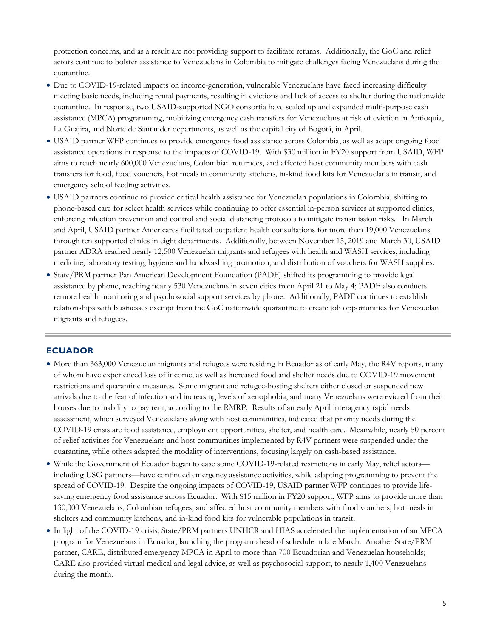protection concerns, and as a result are not providing support to facilitate returns. Additionally, the GoC and relief actors continue to bolster assistance to Venezuelans in Colombia to mitigate challenges facing Venezuelans during the quarantine.

- Due to COVID-19-related impacts on income-generation, vulnerable Venezuelans have faced increasing difficulty meeting basic needs, including rental payments, resulting in evictions and lack of access to shelter during the nationwide quarantine. In response, two USAID-supported NGO consortia have scaled up and expanded multi-purpose cash assistance (MPCA) programming, mobilizing emergency cash transfers for Venezuelans at risk of eviction in Antioquia, La Guajira, and Norte de Santander departments, as well as the capital city of Bogotá, in April.
- USAID partner WFP continues to provide emergency food assistance across Colombia, as well as adapt ongoing food assistance operations in response to the impacts of COVID-19. With \$30 million in FY20 support from USAID, WFP aims to reach nearly 600,000 Venezuelans, Colombian returnees, and affected host community members with cash transfers for food, food vouchers, hot meals in community kitchens, in-kind food kits for Venezuelans in transit, and emergency school feeding activities.
- USAID partners continue to provide critical health assistance for Venezuelan populations in Colombia, shifting to phone-based care for select health services while continuing to offer essential in-person services at supported clinics, enforcing infection prevention and control and social distancing protocols to mitigate transmission risks. In March and April, USAID partner Americares facilitated outpatient health consultations for more than 19,000 Venezuelans through ten supported clinics in eight departments. Additionally, between November 15, 2019 and March 30, USAID partner ADRA reached nearly 12,500 Venezuelan migrants and refugees with health and WASH services, including medicine, laboratory testing, hygiene and handwashing promotion, and distribution of vouchers for WASH supplies.
- State/PRM partner Pan American Development Foundation (PADF) shifted its programming to provide legal assistance by phone, reaching nearly 530 Venezuelans in seven cities from April 21 to May 4; PADF also conducts remote health monitoring and psychosocial support services by phone. Additionally, PADF continues to establish relationships with businesses exempt from the GoC nationwide quarantine to create job opportunities for Venezuelan migrants and refugees.

#### **ECUADOR**

- More than 363,000 Venezuelan migrants and refugees were residing in Ecuador as of early May, the R4V reports, many of whom have experienced loss of income, as well as increased food and shelter needs due to COVID-19 movement restrictions and quarantine measures. Some migrant and refugee-hosting shelters either closed or suspended new arrivals due to the fear of infection and increasing levels of xenophobia, and many Venezuelans were evicted from their houses due to inability to pay rent, according to the RMRP. Results of an early April interagency rapid needs assessment, which surveyed Venezuelans along with host communities, indicated that priority needs during the COVID-19 crisis are food assistance, employment opportunities, shelter, and health care. Meanwhile, nearly 50 percent of relief activities for Venezuelans and host communities implemented by R4V partners were suspended under the quarantine, while others adapted the modality of interventions, focusing largely on cash-based assistance.
- While the Government of Ecuador began to ease some COVID-19-related restrictions in early May, relief actors including USG partners—have continued emergency assistance activities, while adapting programming to prevent the spread of COVID-19. Despite the ongoing impacts of COVID-19, USAID partner WFP continues to provide lifesaving emergency food assistance across Ecuador. With \$15 million in FY20 support, WFP aims to provide more than 130,000 Venezuelans, Colombian refugees, and affected host community members with food vouchers, hot meals in shelters and community kitchens, and in-kind food kits for vulnerable populations in transit.
- In light of the COVID-19 crisis, State/PRM partners UNHCR and HIAS accelerated the implementation of an MPCA program for Venezuelans in Ecuador, launching the program ahead of schedule in late March. Another State/PRM partner, CARE, distributed emergency MPCA in April to more than 700 Ecuadorian and Venezuelan households; CARE also provided virtual medical and legal advice, as well as psychosocial support, to nearly 1,400 Venezuelans during the month.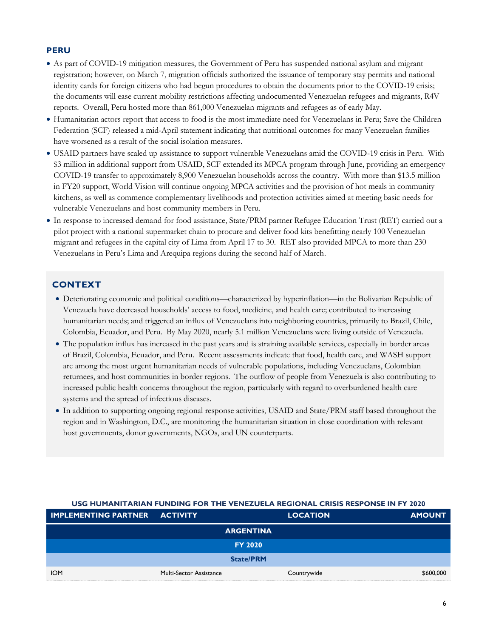### **PERU**

- As part of COVID-19 mitigation measures, the Government of Peru has suspended national asylum and migrant registration; however, on March 7, migration officials authorized the issuance of temporary stay permits and national identity cards for foreign citizens who had begun procedures to obtain the documents prior to the COVID-19 crisis; the documents will ease current mobility restrictions affecting undocumented Venezuelan refugees and migrants, R4V reports. Overall, Peru hosted more than 861,000 Venezuelan migrants and refugees as of early May.
- Humanitarian actors report that access to food is the most immediate need for Venezuelans in Peru; Save the Children Federation (SCF) released a mid-April statement indicating that nutritional outcomes for many Venezuelan families have worsened as a result of the social isolation measures.
- USAID partners have scaled up assistance to support vulnerable Venezuelans amid the COVID-19 crisis in Peru. With \$3 million in additional support from USAID, SCF extended its MPCA program through June, providing an emergency COVID-19 transfer to approximately 8,900 Venezuelan households across the country. With more than \$13.5 million in FY20 support, World Vision will continue ongoing MPCA activities and the provision of hot meals in community kitchens, as well as commence complementary livelihoods and protection activities aimed at meeting basic needs for vulnerable Venezuelans and host community members in Peru.
- In response to increased demand for food assistance, State/PRM partner Refugee Education Trust (RET) carried out a pilot project with a national supermarket chain to procure and deliver food kits benefitting nearly 100 Venezuelan migrant and refugees in the capital city of Lima from April 17 to 30. RET also provided MPCA to more than 230 Venezuelans in Peru's Lima and Arequipa regions during the second half of March.

## **CONTEXT**

- Deteriorating economic and political conditions—characterized by hyperinflation—in the Bolivarian Republic of Venezuela have decreased households' access to food, medicine, and health care; contributed to increasing humanitarian needs; and triggered an influx of Venezuelans into neighboring countries, primarily to Brazil, Chile, Colombia, Ecuador, and Peru. By May 2020, nearly 5.1 million Venezuelans were living outside of Venezuela.
- The population influx has increased in the past years and is straining available services, especially in border areas of Brazil, Colombia, Ecuador, and Peru. Recent assessments indicate that food, health care, and WASH support are among the most urgent humanitarian needs of vulnerable populations, including Venezuelans, Colombian returnees, and host communities in border regions. The outflow of people from Venezuela is also contributing to increased public health concerns throughout the region, particularly with regard to overburdened health care systems and the spread of infectious diseases.
- In addition to supporting ongoing regional response activities, USAID and State/PRM staff based throughout the region and in Washington, D.C., are monitoring the humanitarian situation in close coordination with relevant host governments, donor governments, NGOs, and UN counterparts.

| <b>IMPLEMENTING PARTNER ACTIVITY</b> |                                | <b>LOCATION</b> | <b>AMOUNT</b> |
|--------------------------------------|--------------------------------|-----------------|---------------|
|                                      | <b>ARGENTINA</b>               |                 |               |
|                                      | <b>FY 2020</b>                 |                 |               |
|                                      | <b>State/PRM</b>               |                 |               |
| <b>IOM</b>                           | <b>Multi-Sector Assistance</b> | Countrywide     | \$600,000     |

#### **USG HUMANITARIAN FUNDING FOR THE VENEZUELA REGIONAL CRISIS RESPONSE IN FY 2020**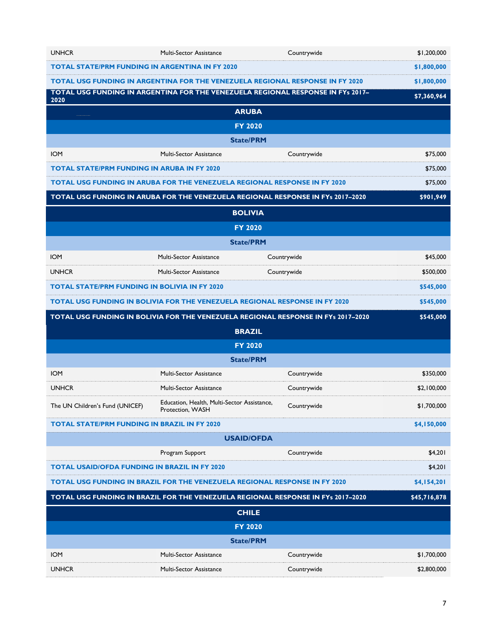| <b>UNHCR</b>                                                                            | Multi-Sector Assistance                                                           | Countrywide | \$1,200,000  |
|-----------------------------------------------------------------------------------------|-----------------------------------------------------------------------------------|-------------|--------------|
| <b>TOTAL STATE/PRM FUNDING IN ARGENTINA IN FY 2020</b>                                  |                                                                                   |             | \$1,800,000  |
| <b>TOTAL USG FUNDING IN ARGENTINA FOR THE VENEZUELA REGIONAL RESPONSE IN FY 2020</b>    |                                                                                   |             | \$1,800,000  |
| TOTAL USG FUNDING IN ARGENTINA FOR THE VENEZUELA REGIONAL RESPONSE IN FYs 2017-<br>2020 |                                                                                   | \$7,360,964 |              |
|                                                                                         | <b>ARUBA</b>                                                                      |             |              |
|                                                                                         | <b>FY 2020</b>                                                                    |             |              |
|                                                                                         | <b>State/PRM</b>                                                                  |             |              |
| <b>IOM</b>                                                                              | Multi-Sector Assistance                                                           | Countrywide | \$75,000     |
| <b>TOTAL STATE/PRM FUNDING IN ARUBA IN FY 2020</b>                                      |                                                                                   |             | \$75,000     |
|                                                                                         | <b>TOTAL USG FUNDING IN ARUBA FOR THE VENEZUELA REGIONAL RESPONSE IN FY 2020</b>  |             | \$75,000     |
|                                                                                         | TOTAL USG FUNDING IN ARUBA FOR THE VENEZUELA REGIONAL RESPONSE IN FYs 2017-2020   |             | \$901,949    |
|                                                                                         | <b>BOLIVIA</b>                                                                    |             |              |
|                                                                                         | <b>FY 2020</b>                                                                    |             |              |
|                                                                                         | <b>State/PRM</b>                                                                  |             |              |
| <b>IOM</b>                                                                              | <b>Multi-Sector Assistance</b>                                                    | Countrywide | \$45,000     |
| <b>UNHCR</b>                                                                            | <b>Multi-Sector Assistance</b>                                                    | Countrywide | \$500,000    |
| <b>TOTAL STATE/PRM FUNDING IN BOLIVIA IN FY 2020</b>                                    |                                                                                   |             | \$545,000    |
| <b>TOTAL USG FUNDING IN BOLIVIA FOR THE VENEZUELA REGIONAL RESPONSE IN FY 2020</b>      |                                                                                   | \$545,000   |              |
| TOTAL USG FUNDING IN BOLIVIA FOR THE VENEZUELA REGIONAL RESPONSE IN FYs 2017-2020       |                                                                                   |             |              |
|                                                                                         |                                                                                   |             | \$545,000    |
|                                                                                         | <b>BRAZIL</b>                                                                     |             |              |
|                                                                                         | <b>FY 2020</b>                                                                    |             |              |
|                                                                                         | <b>State/PRM</b>                                                                  |             |              |
| <b>IOM</b>                                                                              | Multi-Sector Assistance                                                           | Countrywide | \$350,000    |
| <b>UNHCR</b>                                                                            | Multi-Sector Assistance                                                           | Countrywide | \$2,100,000  |
| The UN Children's Fund (UNICEF)                                                         | Education, Health, Multi-Sector Assistance,<br>Protection, WASH                   | Countrywide | \$1,700,000  |
| <b>TOTAL STATE/PRM FUNDING IN BRAZIL IN FY 2020</b>                                     |                                                                                   |             | \$4,150,000  |
|                                                                                         | <b>USAID/OFDA</b>                                                                 |             |              |
|                                                                                         | Program Support                                                                   | Countrywide | \$4,201      |
| <b>TOTAL USAID/OFDA FUNDING IN BRAZIL IN FY 2020</b>                                    |                                                                                   |             | \$4,201      |
|                                                                                         | <b>TOTAL USG FUNDING IN BRAZIL FOR THE VENEZUELA REGIONAL RESPONSE IN FY 2020</b> |             | \$4,154,201  |
|                                                                                         | TOTAL USG FUNDING IN BRAZIL FOR THE VENEZUELA REGIONAL RESPONSE IN FYs 2017-2020  |             | \$45,716,878 |
|                                                                                         | <b>CHILE</b>                                                                      |             |              |
|                                                                                         | <b>FY 2020</b>                                                                    |             |              |
|                                                                                         | <b>State/PRM</b>                                                                  |             |              |
| <b>IOM</b>                                                                              | Multi-Sector Assistance                                                           | Countrywide | \$1,700,000  |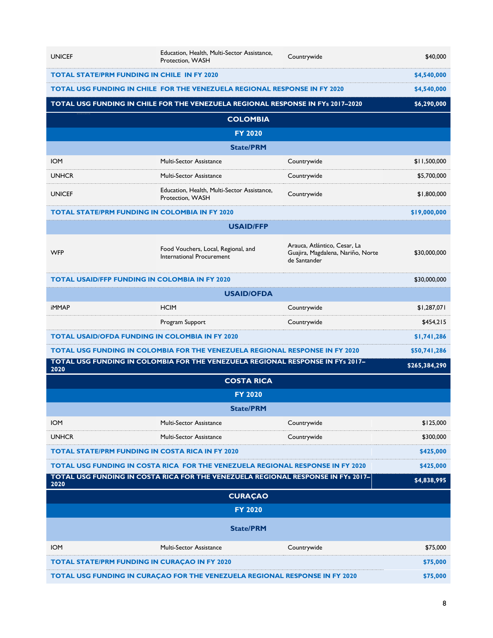| <b>UNICEF</b>                                                                   | Education, Health, Multi-Sector Assistance,<br>Protection, WASH                       | Countrywide                                                                       | \$40,000      |
|---------------------------------------------------------------------------------|---------------------------------------------------------------------------------------|-----------------------------------------------------------------------------------|---------------|
| <b>TOTAL STATE/PRM FUNDING IN CHILE IN FY 2020</b>                              |                                                                                       |                                                                                   | \$4,540,000   |
|                                                                                 | <b>TOTAL USG FUNDING IN CHILE FOR THE VENEZUELA REGIONAL RESPONSE IN FY 2020</b>      |                                                                                   | \$4,540,000   |
| TOTAL USG FUNDING IN CHILE FOR THE VENEZUELA REGIONAL RESPONSE IN FYs 2017-2020 |                                                                                       | \$6,290,000                                                                       |               |
|                                                                                 | <b>COLOMBIA</b>                                                                       |                                                                                   |               |
|                                                                                 | <b>FY 2020</b>                                                                        |                                                                                   |               |
|                                                                                 | <b>State/PRM</b>                                                                      |                                                                                   |               |
| <b>IOM</b>                                                                      | Multi-Sector Assistance                                                               | Countrywide                                                                       | \$11,500,000  |
| <b>UNHCR</b>                                                                    | Multi-Sector Assistance                                                               | Countrywide                                                                       | \$5,700,000   |
| <b>UNICEF</b>                                                                   | Education, Health, Multi-Sector Assistance,<br>Protection, WASH                       | Countrywide                                                                       | \$1,800,000   |
| <b>TOTAL STATE/PRM FUNDING IN COLOMBIA IN FY 2020</b>                           |                                                                                       |                                                                                   | \$19,000,000  |
|                                                                                 | <b>USAID/FFP</b>                                                                      |                                                                                   |               |
| <b>WFP</b>                                                                      | Food Vouchers, Local, Regional, and<br>International Procurement                      | Arauca, Atlántico, Cesar, La<br>Guajira, Magdalena, Nariño, Norte<br>de Santander | \$30,000,000  |
| <b>TOTAL USAID/FFP FUNDING IN COLOMBIA IN FY 2020</b>                           |                                                                                       |                                                                                   | \$30,000,000  |
|                                                                                 | <b>USAID/OFDA</b>                                                                     |                                                                                   |               |
| <b>iMMAP</b>                                                                    | <b>HCIM</b>                                                                           | Countrywide                                                                       | \$1,287,071   |
|                                                                                 | Program Support                                                                       | Countrywide                                                                       | \$454,215     |
| <b>TOTAL USAID/OFDA FUNDING IN COLOMBIA IN FY 2020</b>                          |                                                                                       |                                                                                   | \$1,741,286   |
|                                                                                 | <b>TOTAL USG FUNDING IN COLOMBIA FOR THE VENEZUELA REGIONAL RESPONSE IN FY 2020</b>   |                                                                                   | \$50,741,286  |
| 2020                                                                            | TOTAL USG FUNDING IN COLOMBIA FOR THE VENEZUELA REGIONAL RESPONSE IN FYs 2017-        |                                                                                   | \$265,384,290 |
|                                                                                 | <b>COSTA RICA</b>                                                                     |                                                                                   |               |
|                                                                                 | <b>FY 2020</b>                                                                        |                                                                                   |               |
|                                                                                 | <b>State/PRM</b>                                                                      |                                                                                   |               |
| <b>IOM</b>                                                                      | Multi-Sector Assistance                                                               | Countrywide                                                                       | \$125,000     |
| <b>UNHCR</b>                                                                    | Multi-Sector Assistance                                                               | Countrywide                                                                       | \$300,000     |
| <b>TOTAL STATE/PRM FUNDING IN COSTA RICA IN FY 2020</b>                         |                                                                                       |                                                                                   | \$425,000     |
|                                                                                 | <b>TOTAL USG FUNDING IN COSTA RICA FOR THE VENEZUELA REGIONAL RESPONSE IN FY 2020</b> |                                                                                   | \$425,000     |
| 2020                                                                            | TOTAL USG FUNDING IN COSTA RICA FOR THE VENEZUELA REGIONAL RESPONSE IN FYs 2017-      |                                                                                   | \$4,838,995   |
|                                                                                 | <b>CURAÇAO</b>                                                                        |                                                                                   |               |
|                                                                                 | <b>FY 2020</b>                                                                        |                                                                                   |               |
|                                                                                 | <b>State/PRM</b>                                                                      |                                                                                   |               |
| <b>IOM</b>                                                                      | Multi-Sector Assistance                                                               | Countrywide                                                                       | \$75,000      |
| <b>TOTAL STATE/PRM FUNDING IN CURAÇAO IN FY 2020</b>                            |                                                                                       |                                                                                   |               |
|                                                                                 |                                                                                       |                                                                                   | \$75,000      |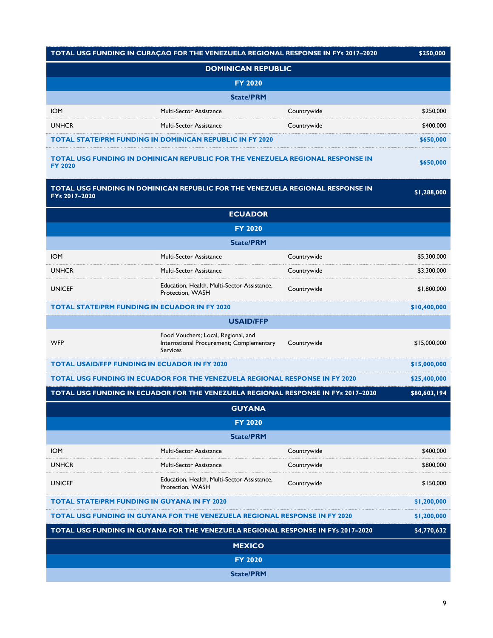|                                                                                   | TOTAL USG FUNDING IN CURAÇAO FOR THE VENEZUELA REGIONAL RESPONSE IN FYs 2017-2020                  |              | \$250,000    |
|-----------------------------------------------------------------------------------|----------------------------------------------------------------------------------------------------|--------------|--------------|
|                                                                                   | <b>DOMINICAN REPUBLIC</b>                                                                          |              |              |
|                                                                                   | <b>FY 2020</b>                                                                                     |              |              |
|                                                                                   | <b>State/PRM</b>                                                                                   |              |              |
| <b>IOM</b>                                                                        | <b>Multi-Sector Assistance</b>                                                                     | Countrywide  | \$250,000    |
| <b>UNHCR</b>                                                                      | <b>Multi-Sector Assistance</b>                                                                     | Countrywide  | \$400,000    |
|                                                                                   | <b>TOTAL STATE/PRM FUNDING IN DOMINICAN REPUBLIC IN FY 2020</b>                                    |              | \$650,000    |
| <b>FY 2020</b>                                                                    | TOTAL USG FUNDING IN DOMINICAN REPUBLIC FOR THE VENEZUELA REGIONAL RESPONSE IN                     |              | \$650,000    |
| FYs 2017-2020                                                                     | TOTAL USG FUNDING IN DOMINICAN REPUBLIC FOR THE VENEZUELA REGIONAL RESPONSE IN                     |              | \$1,288,000  |
|                                                                                   | <b>ECUADOR</b>                                                                                     |              |              |
|                                                                                   | <b>FY 2020</b>                                                                                     |              |              |
|                                                                                   | <b>State/PRM</b>                                                                                   |              |              |
| <b>IOM</b>                                                                        | Multi-Sector Assistance                                                                            | Countrywide  | \$5,300,000  |
| <b>UNHCR</b>                                                                      | Multi-Sector Assistance                                                                            | Countrywide  | \$3,300,000  |
| <b>UNICEF</b>                                                                     | Education, Health, Multi-Sector Assistance,<br>Protection, WASH                                    | Countrywide  | \$1,800,000  |
|                                                                                   | <b>TOTAL STATE/PRM FUNDING IN ECUADOR IN FY 2020</b>                                               |              | \$10,400,000 |
|                                                                                   | <b>USAID/FFP</b>                                                                                   |              |              |
| <b>WFP</b>                                                                        | Food Vouchers; Local, Regional, and<br>International Procurement; Complementary<br><b>Services</b> | Countrywide  | \$15,000,000 |
|                                                                                   | <b>TOTAL USAID/FFP FUNDING IN ECUADOR IN FY 2020</b>                                               |              | \$15,000,000 |
|                                                                                   | <b>TOTAL USG FUNDING IN ECUADOR FOR THE VENEZUELA REGIONAL RESPONSE IN FY 2020</b>                 |              | \$25,400,000 |
| TOTAL USG FUNDING IN ECUADOR FOR THE VENEZUELA REGIONAL RESPONSE IN FYs 2017-2020 |                                                                                                    | \$80,603,194 |              |
|                                                                                   | <b>GUYANA</b>                                                                                      |              |              |
|                                                                                   | <b>FY 2020</b>                                                                                     |              |              |
|                                                                                   | <b>State/PRM</b>                                                                                   |              |              |
| <b>IOM</b>                                                                        | Multi-Sector Assistance                                                                            | Countrywide  | \$400,000    |
| <b>UNHCR</b>                                                                      | <b>Multi-Sector Assistance</b>                                                                     | Countrywide  | \$800,000    |
| <b>UNICEF</b>                                                                     | Education, Health, Multi-Sector Assistance,<br>Protection, WASH                                    | Countrywide  | \$150,000    |
|                                                                                   | <b>TOTAL STATE/PRM FUNDING IN GUYANA IN FY 2020</b>                                                |              | \$1,200,000  |
|                                                                                   | <b>TOTAL USG FUNDING IN GUYANA FOR THE VENEZUELA REGIONAL RESPONSE IN FY 2020</b>                  |              | \$1,200,000  |
|                                                                                   | TOTAL USG FUNDING IN GUYANA FOR THE VENEZUELA REGIONAL RESPONSE IN FYs 2017-2020                   |              | \$4,770,632  |
|                                                                                   | <b>MEXICO</b>                                                                                      |              |              |
|                                                                                   | <b>FY 2020</b>                                                                                     |              |              |
|                                                                                   | <b>State/PRM</b>                                                                                   |              |              |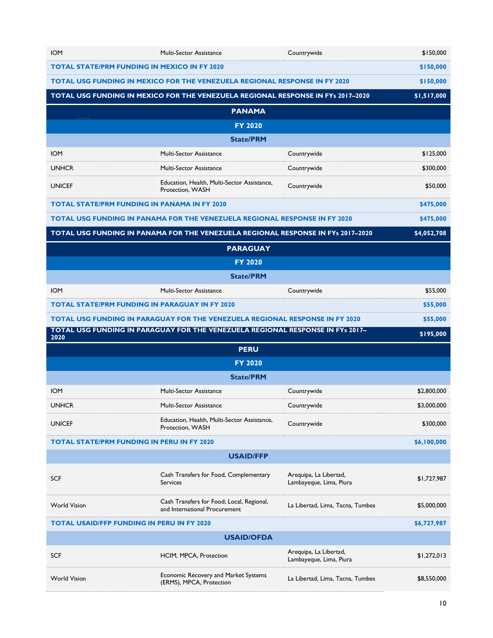| <b>IOM</b>                                                                          | <b>Multi-Sector Assistance</b>                                                    | Countrywide                                       | \$150,000   |
|-------------------------------------------------------------------------------------|-----------------------------------------------------------------------------------|---------------------------------------------------|-------------|
|                                                                                     | <b>TOTAL STATE/PRM FUNDING IN MEXICO IN FY 2020</b>                               |                                                   | \$150,000   |
| <b>TOTAL USG FUNDING IN MEXICO FOR THE VENEZUELA REGIONAL RESPONSE IN FY 2020</b>   |                                                                                   |                                                   | \$150,000   |
|                                                                                     | TOTAL USG FUNDING IN MEXICO FOR THE VENEZUELA REGIONAL RESPONSE IN FYs 2017-2020  |                                                   | \$1,517,000 |
|                                                                                     | <b>PANAMA</b>                                                                     |                                                   |             |
|                                                                                     | <b>FY 2020</b>                                                                    |                                                   |             |
|                                                                                     | <b>State/PRM</b>                                                                  |                                                   |             |
| <b>IOM</b>                                                                          | Multi-Sector Assistance                                                           | Countrywide                                       | \$125,000   |
| <b>UNHCR</b>                                                                        | Multi-Sector Assistance                                                           | Countrywide                                       | \$300,000   |
| <b>UNICEF</b>                                                                       | Education, Health, Multi-Sector Assistance,<br>Protection, WASH                   | Countrywide                                       | \$50,000    |
|                                                                                     | <b>TOTAL STATE/PRM FUNDING IN PANAMA IN FY 2020</b>                               |                                                   | \$475,000   |
|                                                                                     | <b>TOTAL USG FUNDING IN PANAMA FOR THE VENEZUELA REGIONAL RESPONSE IN FY 2020</b> |                                                   | \$475,000   |
|                                                                                     | TOTAL USG FUNDING IN PANAMA FOR THE VENEZUELA REGIONAL RESPONSE IN FYs 2017-2020  |                                                   | \$4,052,708 |
|                                                                                     | <b>PARAGUAY</b>                                                                   |                                                   |             |
|                                                                                     | <b>FY 2020</b>                                                                    |                                                   |             |
|                                                                                     | <b>State/PRM</b>                                                                  |                                                   |             |
| <b>IOM</b>                                                                          | <b>Multi-Sector Assistance</b>                                                    | Countrywide                                       | \$55,000    |
|                                                                                     | <b>TOTAL STATE/PRM FUNDING IN PARAGUAY IN FY 2020</b>                             |                                                   | \$55,000    |
| <b>TOTAL USG FUNDING IN PARAGUAY FOR THE VENEZUELA REGIONAL RESPONSE IN FY 2020</b> |                                                                                   |                                                   |             |
|                                                                                     |                                                                                   |                                                   | \$55,000    |
| 2020                                                                                | TOTAL USG FUNDING IN PARAGUAY FOR THE VENEZUELA REGIONAL RESPONSE IN FYS 2017-    |                                                   | \$195,000   |
|                                                                                     | <b>PERU</b>                                                                       |                                                   |             |
|                                                                                     | <b>FY 2020</b>                                                                    |                                                   |             |
|                                                                                     | <b>State/PRM</b>                                                                  |                                                   |             |
| <b>IOM</b>                                                                          | <b>Multi-Sector Assistance</b>                                                    | Countrywide                                       | \$2,800,000 |
| <b>UNHCR</b>                                                                        | <b>Multi-Sector Assistance</b>                                                    | Countrywide                                       | \$3,000,000 |
| <b>UNICEF</b>                                                                       | Education, Health, Multi-Sector Assistance,<br>Protection, WASH                   | Countrywide                                       | \$300,000   |
|                                                                                     | <b>TOTAL STATE/PRM FUNDING IN PERU IN FY 2020</b>                                 |                                                   | \$6,100,000 |
|                                                                                     | <b>USAID/FFP</b>                                                                  |                                                   |             |
| <b>SCF</b>                                                                          | Cash Transfers for Food, Complementary<br><b>Services</b>                         | Arequipa, La Libertad,<br>Lambayeque, Lima, Piura | \$1,727,987 |
| <b>World Vision</b>                                                                 | Cash Transfers for Food; Local, Regional,<br>and International Procurement        | La Libertad, Lima, Tacna, Tumbes                  | \$5,000,000 |
| <b>TOTAL USAID/FFP FUNDING IN PERU IN FY 2020</b>                                   |                                                                                   |                                                   | \$6,727,987 |
|                                                                                     | <b>USAID/OFDA</b>                                                                 |                                                   |             |
| <b>SCF</b>                                                                          | HCIM, MPCA, Protection                                                            | Arequipa, La Libertad,<br>Lambayeque, Lima, Piura | \$1,272,013 |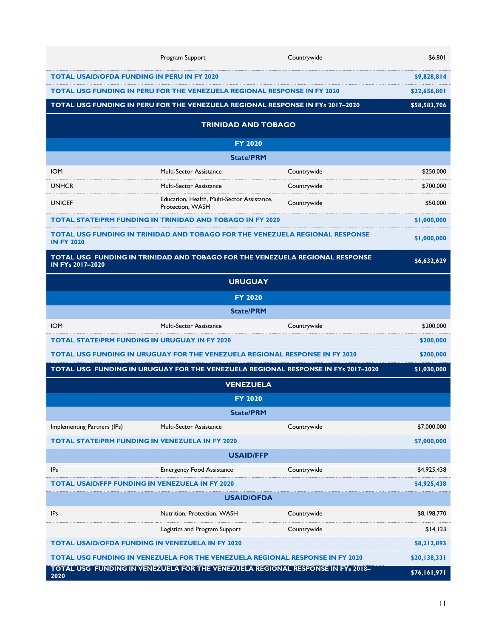|                                                                                 | Program Support                                                                      | Countrywide  | \$6,801      |  |
|---------------------------------------------------------------------------------|--------------------------------------------------------------------------------------|--------------|--------------|--|
| <b>TOTAL USAID/OFDA FUNDING IN PERU IN FY 2020</b>                              |                                                                                      |              | \$9,828,814  |  |
| <b>TOTAL USG FUNDING IN PERU FOR THE VENEZUELA REGIONAL RESPONSE IN FY 2020</b> |                                                                                      | \$22,656,801 |              |  |
| TOTAL USG FUNDING IN PERU FOR THE VENEZUELA REGIONAL RESPONSE IN FYS 2017-2020  |                                                                                      | \$58,583,706 |              |  |
|                                                                                 | <b>TRINIDAD AND TOBAGO</b>                                                           |              |              |  |
|                                                                                 | <b>FY 2020</b>                                                                       |              |              |  |
|                                                                                 | <b>State/PRM</b>                                                                     |              |              |  |
| <b>IOM</b>                                                                      | <b>Multi-Sector Assistance</b>                                                       | Countrywide  | \$250,000    |  |
| <b>UNHCR</b>                                                                    | <b>Multi-Sector Assistance</b>                                                       | Countrywide  | \$700,000    |  |
| <b>UNICEF</b>                                                                   | Education, Health, Multi-Sector Assistance,<br>Protection, WASH                      | Countrywide  | \$50,000     |  |
|                                                                                 | <b>TOTAL STATE/PRM FUNDING IN TRINIDAD AND TOBAGO IN FY 2020</b>                     |              | \$1,000,000  |  |
| <b>IN FY 2020</b>                                                               | TOTAL USG FUNDING IN TRINIDAD AND TOBAGO FOR THE VENEZUELA REGIONAL RESPONSE         |              | \$1,000,000  |  |
| IN FYs 2017-2020                                                                | TOTAL USG FUNDING IN TRINIDAD AND TOBAGO FOR THE VENEZUELA REGIONAL RESPONSE         |              | \$6,632,629  |  |
|                                                                                 | <b>URUGUAY</b>                                                                       |              |              |  |
|                                                                                 | <b>FY 2020</b>                                                                       |              |              |  |
|                                                                                 | <b>State/PRM</b>                                                                     |              |              |  |
| <b>IOM</b>                                                                      | <b>Multi-Sector Assistance</b>                                                       | Countrywide  | \$200,000    |  |
| <b>TOTAL STATE/PRM FUNDING IN URUGUAY IN FY 2020</b>                            |                                                                                      |              | \$200,000    |  |
|                                                                                 | <b>TOTAL USG FUNDING IN URUGUAY FOR THE VENEZUELA REGIONAL RESPONSE IN FY 2020</b>   |              | \$200,000    |  |
|                                                                                 | TOTAL USG FUNDING IN URUGUAY FOR THE VENEZUELA REGIONAL RESPONSE IN FYs 2017-2020    |              | \$1,030,000  |  |
|                                                                                 | <b>VENEZUELA</b>                                                                     |              |              |  |
| <b>FY 2020</b>                                                                  |                                                                                      |              |              |  |
|                                                                                 | <b>State/PRM</b>                                                                     |              |              |  |
| Implementing Partners (IPs)                                                     | Multi-Sector Assistance                                                              | Countrywide  | \$7,000,000  |  |
| <b>TOTAL STATE/PRM FUNDING IN VENEZUELA IN FY 2020</b>                          |                                                                                      |              | \$7,000,000  |  |
|                                                                                 | <b>USAID/FFP</b>                                                                     |              |              |  |
| <b>IPs</b>                                                                      | <b>Emergency Food Assistance</b>                                                     | Countrywide  | \$4,925,438  |  |
| <b>TOTAL USAID/FFP FUNDING IN VENEZUELA IN FY 2020</b>                          |                                                                                      |              | \$4,925,438  |  |
|                                                                                 | <b>USAID/OFDA</b>                                                                    |              |              |  |
| <b>IPs</b>                                                                      | Nutrition, Protection, WASH                                                          | Countrywide  | \$8,198,770  |  |
|                                                                                 | Logistics and Program Support                                                        | Countrywide  | \$14,123     |  |
| <b>TOTAL USAID/OFDA FUNDING IN VENEZUELA IN FY 2020</b>                         |                                                                                      |              | \$8,212,893  |  |
|                                                                                 | <b>TOTAL USG FUNDING IN VENEZUELA FOR THE VENEZUELA REGIONAL RESPONSE IN FY 2020</b> |              | \$20,138,331 |  |
| 2020                                                                            | TOTAL USG FUNDING IN VENEZUELA FOR THE VENEZUELA REGIONAL RESPONSE IN FYS 2018-      |              | \$76,161,971 |  |